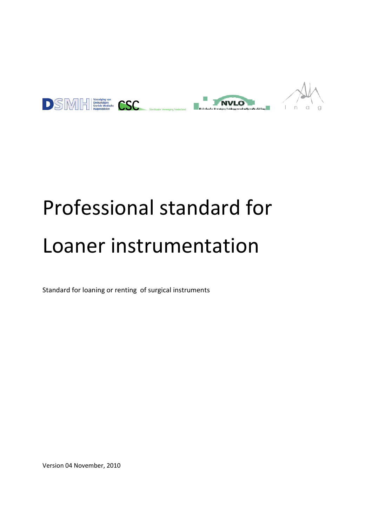



# Professional standard for Loaner instrumentation

Standard for loaning or renting of surgical instruments

Version 04 November, 2010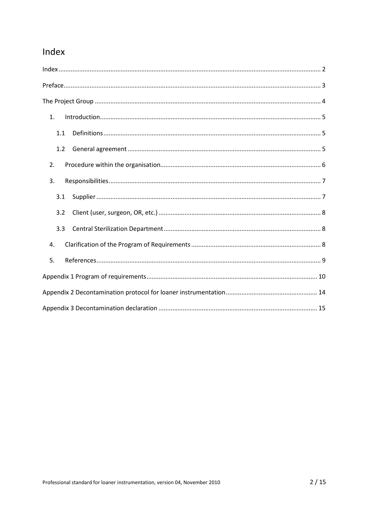# Index

| 1.  |
|-----|
| 1.1 |
| 1.2 |
| 2.  |
| 3.  |
| 3.1 |
| 3.2 |
| 3.3 |
| 4.  |
| 5.  |
|     |
|     |
|     |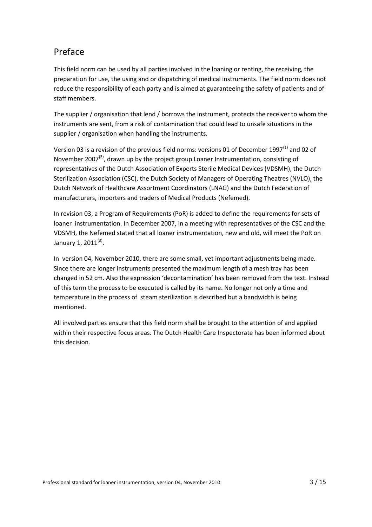# Preface

This field norm can be used by all parties involved in the loaning or renting, the receiving, the preparation for use, the using and or dispatching of medical instruments. The field norm does not reduce the responsibility of each party and is aimed at guaranteeing the safety of patients and of staff members.

The supplier / organisation that lend / borrows the instrument, protects the receiver to whom the instruments are sent, from a risk of contamination that could lead to unsafe situations in the supplier / organisation when handling the instruments.

Version 03 is a revision of the previous field norms: versions 01 of December 1997<sup>(1)</sup> and 02 of November 2007 $^{(2)}$ , drawn up by the project group Loaner Instrumentation, consisting of representatives of the Dutch Association of Experts Sterile Medical Devices (VDSMH), the Dutch Sterilization Association (CSC), the Dutch Society of Managers of Operating Theatres (NVLO), the Dutch Network of Healthcare Assortment Coordinators (LNAG) and the Dutch Federation of manufacturers, importers and traders of Medical Products (Nefemed).

In revision 03, a Program of Requirements (PoR) is added to define the requirements for sets of loaner instrumentation. In December 2007, in a meeting with representatives of the CSC and the VDSMH, the Nefemed stated that all loaner instrumentation, new and old, will meet the PoR on January 1, 2011<sup>(3)</sup>.

In version 04, November 2010, there are some small, yet important adjustments being made. Since there are longer instruments presented the maximum length of a mesh tray has been changed in 52 cm. Also the expression 'decontamination' has been removed from the text. Instead of this term the process to be executed is called by its name. No longer not only a time and temperature in the process of steam sterilization is described but a bandwidth is being mentioned.

All involved parties ensure that this field norm shall be brought to the attention of and applied within their respective focus areas. The Dutch Health Care Inspectorate has been informed about this decision.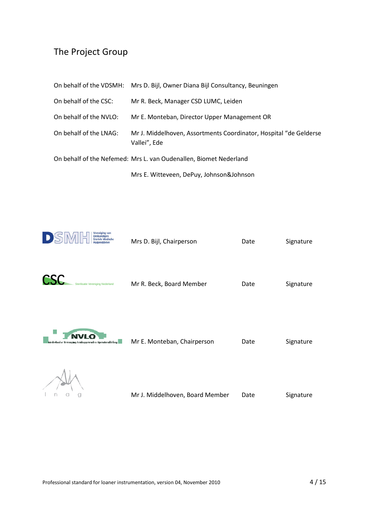# The Project Group

|                                                                   | On behalf of the VDSMH: Mrs D. Bijl, Owner Diana Bijl Consultancy, Beuningen      |  |
|-------------------------------------------------------------------|-----------------------------------------------------------------------------------|--|
| On behalf of the CSC:                                             | Mr R. Beck, Manager CSD LUMC, Leiden                                              |  |
| On behalf of the NVLO:                                            | Mr E. Monteban, Director Upper Management OR                                      |  |
| On behalf of the LNAG:                                            | Mr J. Middelhoven, Assortments Coordinator, Hospital "de Gelderse<br>Vallei", Ede |  |
| On behalf of the Nefemed: Mrs L. van Oudenallen, Biomet Nederland |                                                                                   |  |
|                                                                   | Mrs E. Witteveen, DePuy, Johnson&Johnson                                          |  |



CSC

n a

 $\mathcal{Q}$ 

 $\mathbf{L}$ 

| $\Gamma$<br>Steriele Medische<br>Hulpmiddelen                                   | Mrs D. Bijl, Chairperson    | Date | Signature |
|---------------------------------------------------------------------------------|-----------------------------|------|-----------|
| Sterilisatie Vereniging Nederland                                               | Mr R. Beck, Board Member    | Date | Signature |
| NVI (<br>skorkaal se Yemmi yang terdengan menden Dynamities Heling <b>III</b> . | Mr E. Monteban, Chairperson | Date | Signature |
|                                                                                 |                             |      |           |

Mr J. Middelhoven, Board Member Date Signature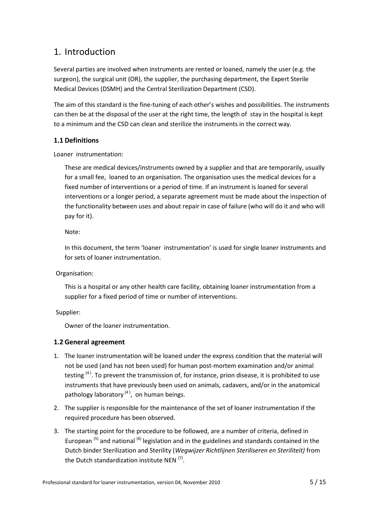## 1. Introduction

Several parties are involved when instruments are rented or loaned, namely the user (e.g. the surgeon), the surgical unit (OR), the supplier, the purchasing department, the Expert Sterile Medical Devices (DSMH) and the Central Sterilization Department (CSD).

The aim of this standard is the fine-tuning of each other's wishes and possibilities. The instruments can then be at the disposal of the user at the right time, the length of stay in the hospital is kept to a minimum and the CSD can clean and sterilize the instruments in the correct way.

#### **1.1 Definitions**

Loaner instrumentation:

These are medical devices/instruments owned by a supplier and that are temporarily, usually for a small fee, loaned to an organisation. The organisation uses the medical devices for a fixed number of interventions or a period of time. If an instrument is loaned for several interventions or a longer period, a separate agreement must be made about the inspection of the functionality between uses and about repair in case of failure (who will do it and who will pay for it).

Note:

In this document, the term 'loaner instrumentation' is used for single loaner instruments and for sets of loaner instrumentation.

#### Organisation:

This is a hospital or any other health care facility, obtaining loaner instrumentation from a supplier for a fixed period of time or number of interventions.

Supplier:

Owner of the loaner instrumentation.

#### **1.2 General agreement**

- 1. The loaner instrumentation will be loaned under the express condition that the material will not be used (and has not been used) for human post-mortem examination and/or animal testing  $(4)$ . To prevent the transmission of, for instance, prion disease, it is prohibited to use instruments that have previously been used on animals, cadavers, and/or in the anatomical pathology laboratory<sup>(4)</sup>, on human beings.
- 2. The supplier is responsible for the maintenance of the set of loaner instrumentation if the required procedure has been observed.
- 3. The starting point for the procedure to be followed, are a number of criteria, defined in European  $(5)$  and national  $(6)$  legislation and in the guidelines and standards contained in the Dutch binder Sterilization and Sterility (*Wegwijzer Richtlijnen Steriliseren en Steriliteit)* from the Dutch standardization institute NEN <sup>(7)</sup>.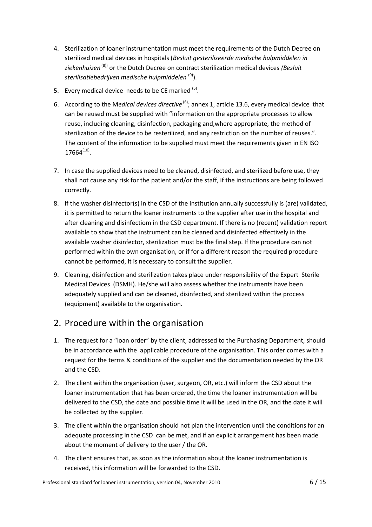- 4. Sterilization of loaner instrumentation must meet the requirements of the Dutch Decree on sterilized medical devices in hospitals (*Besluit gesteriliseerde medische hulpmiddelen in ziekenhuizen* (8)) or the Dutch Decree on contract sterilization medical devices *(Besluit sterilisatiebedrijven medische hulpmiddelen* (9)).
- 5. Every medical device needs to be CE marked <sup>(5)</sup>.
- 6. According to the M*edical devices directive* (6); annex 1, article 13.6, every medical device that can be reused must be supplied with "information on the appropriate processes to allow reuse, including cleaning, disinfection, packaging and,where appropriate, the method of sterilization of the device to be resterilized, and any restriction on the number of reuses.". The content of the information to be supplied must meet the requirements given in EN ISO  $17664^{(10)}$ .
- 7. In case the supplied devices need to be cleaned, disinfected, and sterilized before use, they shall not cause any risk for the patient and/or the staff, if the instructions are being followed correctly.
- 8. If the washer disinfector(s) in the CSD of the institution annually successfully is (are) validated, it is permitted to return the loaner instruments to the supplier after use in the hospital and after cleaning and disinfectiom in the CSD department. If there is no (recent) validation report available to show that the instrument can be cleaned and disinfected effectively in the available washer disinfector, sterilization must be the final step. If the procedure can not performed within the own organisation, or if for a different reason the required procedure cannot be performed, it is necessary to consult the supplier.
- 9. Cleaning, disinfection and sterilization takes place under responsibility of the Expert Sterile Medical Devices (DSMH). He/she will also assess whether the instruments have been adequately supplied and can be cleaned, disinfected, and sterilized within the process (equipment) available to the organisation.

# 2. Procedure within the organisation

- 1. The request for a "loan order" by the client, addressed to the Purchasing Department, should be in accordance with the applicable procedure of the organisation. This order comes with a request for the terms & conditions of the supplier and the documentation needed by the OR and the CSD.
- 2. The client within the organisation (user, surgeon, OR, etc.) will inform the CSD about the loaner instrumentation that has been ordered, the time the loaner instrumentation will be delivered to the CSD, the date and possible time it will be used in the OR, and the date it will be collected by the supplier.
- 3. The client within the organisation should not plan the intervention until the conditions for an adequate processing in the CSD can be met, and if an explicit arrangement has been made about the moment of delivery to the user / the OR.
- 4. The client ensures that, as soon as the information about the loaner instrumentation is received, this information will be forwarded to the CSD.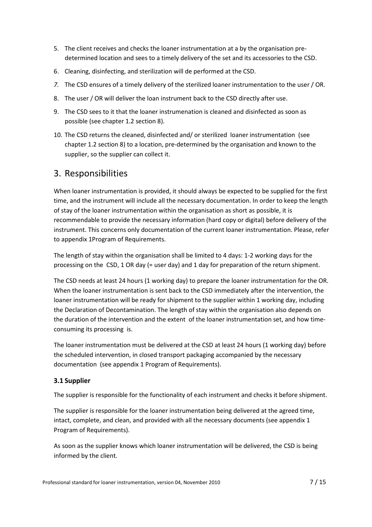- 5. The client receives and checks the loaner instrumentation at a by the organisation predetermined location and sees to a timely delivery of the set and its accessories to the CSD.
- 6. Cleaning, disinfecting, and sterilization will de performed at the CSD.
- *7.* The CSD ensures of a timely delivery of the sterilized loaner instrumentation to the user / OR.
- 8. The user / OR will deliver the loan instrument back to the CSD directly after use.
- 9. The CSD sees to it that the loaner instrumenation is cleaned and disinfected as soon as possible (see chapter 1.2 section 8)*.*
- 10. The CSD returns the cleaned, disinfected and/ or sterilized loaner instrumentation (see chapter 1.2 section 8) to a location, pre-determined by the organisation and known to the supplier, so the supplier can collect it.

## 3. Responsibilities

When loaner instrumentation is provided, it should always be expected to be supplied for the first time, and the instrument will include all the necessary documentation. In order to keep the length of stay of the loaner instrumentation within the organisation as short as possible, it is recommendable to provide the necessary information (hard copy or digital) before delivery of the instrument. This concerns only documentation of the current loaner instrumentation. Please, refer to appendix 1Program of Requirements.

The length of stay within the organisation shall be limited to 4 days: 1-2 working days for the processing on the CSD, 1 OR day (= user day) and 1 day for preparation of the return shipment.

The CSD needs at least 24 hours (1 working day) to prepare the loaner instrumentation for the OR. When the loaner instrumentation is sent back to the CSD immediately after the intervention, the loaner instrumentation will be ready for shipment to the supplier within 1 working day, including the Declaration of Decontamination. The length of stay within the organisation also depends on the duration of the intervention and the extent of the loaner instrumentation set, and how timeconsuming its processing is.

The loaner instrumentation must be delivered at the CSD at least 24 hours (1 working day) before the scheduled intervention, in closed transport packaging accompanied by the necessary documentation (see appendix 1 Program of Requirements).

#### **3.1 Supplier**

The supplier is responsible for the functionality of each instrument and checks it before shipment.

The supplier is responsible for the loaner instrumentation being delivered at the agreed time, intact, complete, and clean, and provided with all the necessary documents (see appendix 1 Program of Requirements).

As soon as the supplier knows which loaner instrumentation will be delivered, the CSD is being informed by the client.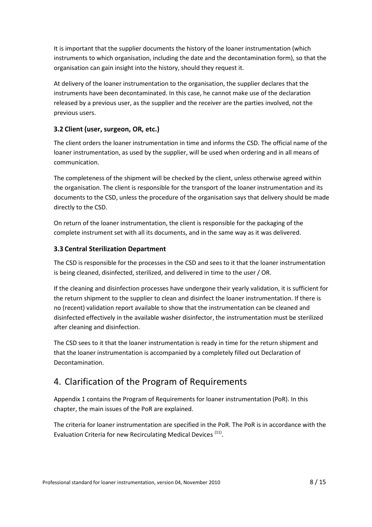It is important that the supplier documents the history of the loaner instrumentation (which instruments to which organisation, including the date and the decontamination form), so that the organisation can gain insight into the history, should they request it.

At delivery of the loaner instrumentation to the organisation, the supplier declares that the instruments have been decontaminated. In this case, he cannot make use of the declaration released by a previous user, as the supplier and the receiver are the parties involved, not the previous users.

#### **3.2 Client (user, surgeon, OR, etc.)**

The client orders the loaner instrumentation in time and informs the CSD. The official name of the loaner instrumentation, as used by the supplier, will be used when ordering and in all means of communication.

The completeness of the shipment will be checked by the client, unless otherwise agreed within the organisation. The client is responsible for the transport of the loaner instrumentation and its documents to the CSD, unless the procedure of the organisation says that delivery should be made directly to the CSD.

On return of the loaner instrumentation, the client is responsible for the packaging of the complete instrument set with all its documents, and in the same way as it was delivered.

#### **3.3 Central Sterilization Department**

The CSD is responsible for the processes in the CSD and sees to it that the loaner instrumentation is being cleaned, disinfected, sterilized, and delivered in time to the user / OR.

If the cleaning and disinfection processes have undergone their yearly validation, it is sufficient for the return shipment to the supplier to clean and disinfect the loaner instrumentation. If there is no (recent) validation report available to show that the instrumentation can be cleaned and disinfected effectively in the available washer disinfector, the instrumentation must be sterilized after cleaning and disinfection.

The CSD sees to it that the loaner instrumentation is ready in time for the return shipment and that the loaner instrumentation is accompanied by a completely filled out Declaration of Decontamination.

# 4. Clarification of the Program of Requirements

Appendix 1 contains the Program of Requirements for loaner instrumentation (PoR). In this chapter, the main issues of the PoR are explained.

The criteria for loaner instrumentation are specified in the PoR. The PoR is in accordance with the Evaluation Criteria for new Recirculating Medical Devices<sup> (11)</sup>.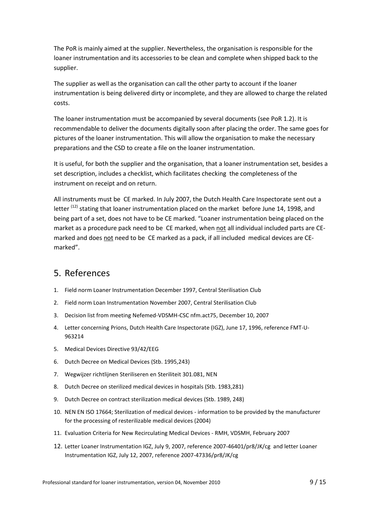The PoR is mainly aimed at the supplier. Nevertheless, the organisation is responsible for the loaner instrumentation and its accessories to be clean and complete when shipped back to the supplier.

The supplier as well as the organisation can call the other party to account if the loaner instrumentation is being delivered dirty or incomplete, and they are allowed to charge the related costs.

The loaner instrumentation must be accompanied by several documents (see PoR 1.2). It is recommendable to deliver the documents digitally soon after placing the order. The same goes for pictures of the loaner instrumentation. This will allow the organisation to make the necessary preparations and the CSD to create a file on the loaner instrumentation.

It is useful, for both the supplier and the organisation, that a loaner instrumentation set, besides a set description, includes a checklist, which facilitates checking the completeness of the instrument on receipt and on return.

All instruments must be CE marked. In July 2007, the Dutch Health Care Inspectorate sent out a letter<sup>(12)</sup> stating that loaner instrumentation placed on the market before June 14, 1998, and being part of a set, does not have to be CE marked. "Loaner instrumentation being placed on the market as a procedure pack need to be CE marked, when not all individual included parts are CEmarked and does not need to be CE marked as a pack, if all included medical devices are CEmarked".

### 5. References

- 1. Field norm Loaner Instrumentation December 1997, Central Sterilisation Club
- 2. Field norm Loan Instrumentation November 2007, Central Sterilisation Club
- 3. Decision list from meeting Nefemed-VDSMH-CSC nfm.act75, December 10, 2007
- 4. Letter concerning Prions, Dutch Health Care Inspectorate (IGZ), June 17, 1996, reference FMT-U-963214
- 5. Medical Devices Directive 93/42/EEG
- 6. Dutch Decree on Medical Devices (Stb. 1995,243)
- 7. Wegwijzer richtlijnen Steriliseren en Steriliteit 301.081, NEN
- 8. Dutch Decree on sterilized medical devices in hospitals (Stb. 1983,281)
- 9. Dutch Decree on contract sterilization medical devices (Stb. 1989, 248)
- 10. NEN EN ISO 17664; Sterilization of medical devices information to be provided by the manufacturer for the processing of resterilizable medical devices (2004)
- 11. Evaluation Criteria for New Recirculating Medical Devices RMH, VDSMH, February 2007
- 12. Letter Loaner Instrumentation IGZ, July 9, 2007, reference 2007-46401/pr8/JK/cg and letter Loaner Instrumentation IGZ, July 12, 2007, reference 2007-47336/pr8/JK/cg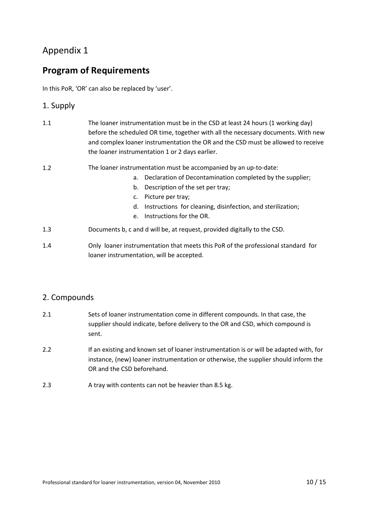## Appendix 1

# **Program of Requirements**

In this PoR, 'OR' can also be replaced by 'user'.

#### 1. Supply

| 1.1 | The loaner instrumentation must be in the CSD at least 24 hours (1 working day)<br>before the scheduled OR time, together with all the necessary documents. With new<br>and complex loaner instrumentation the OR and the CSD must be allowed to receive<br>the loaner instrumentation 1 or 2 days earlier.     |  |  |
|-----|-----------------------------------------------------------------------------------------------------------------------------------------------------------------------------------------------------------------------------------------------------------------------------------------------------------------|--|--|
| 1.2 | The loaner instrumentation must be accompanied by an up-to-date:<br>Declaration of Decontamination completed by the supplier;<br>а.<br>Description of the set per tray;<br>b.<br>Picture per tray;<br>c.<br>Instructions for cleaning, disinfection, and sterilization;<br>d.<br>Instructions for the OR.<br>e. |  |  |
| 1.3 | Documents b, c and d will be, at request, provided digitally to the CSD.                                                                                                                                                                                                                                        |  |  |
| 1.4 | Only loaner instrumentation that meets this PoR of the professional standard for                                                                                                                                                                                                                                |  |  |

#### 2. Compounds

- 2.1 Sets of loaner instrumentation come in different compounds. In that case, the supplier should indicate, before delivery to the OR and CSD, which compound is sent.
- 2.2 If an existing and known set of loaner instrumentation is or will be adapted with, for instance, (new) loaner instrumentation or otherwise, the supplier should inform the OR and the CSD beforehand.
- 2.3 A tray with contents can not be heavier than 8.5 kg.

loaner instrumentation, will be accepted.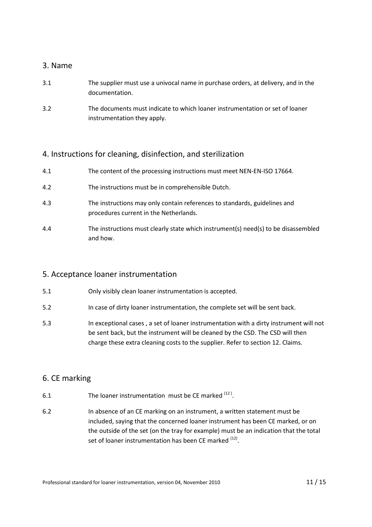#### 3. Name

- 3.1 The supplier must use a univocal name in purchase orders, at delivery, and in the documentation.
- 3.2 The documents must indicate to which loaner instrumentation or set of loaner instrumentation they apply.

#### 4. Instructions for cleaning, disinfection, and sterilization

- 4.1 The content of the processing instructions must meet NEN-EN-ISO 17664.
- 4.2 The instructions must be in comprehensible Dutch.
- 4.3 The instructions may only contain references to standards, guidelines and procedures current in the Netherlands.
- 4.4 The instructions must clearly state which instrument(s) need(s) to be disassembled and how.

#### 5. Acceptance loaner instrumentation

- 5.1 Only visibly clean loaner instrumentation is accepted.
- 5.2 In case of dirty loaner instrumentation, the complete set will be sent back.
- 5.3 In exceptional cases , a set of loaner instrumentation with a dirty instrument will not be sent back, but the instrument will be cleaned by the CSD. The CSD will then charge these extra cleaning costs to the supplier. Refer to section 12. Claims.

#### 6. CE marking

- 6.1 The loaner instrumentation must be CE marked  $(12)$ .
- 6.2 In absence of an CE marking on an instrument, a written statement must be included, saying that the concerned loaner instrument has been CE marked, or on the outside of the set (on the tray for example) must be an indication that the total set of loaner instrumentation has been CE marked <sup>(12)</sup>.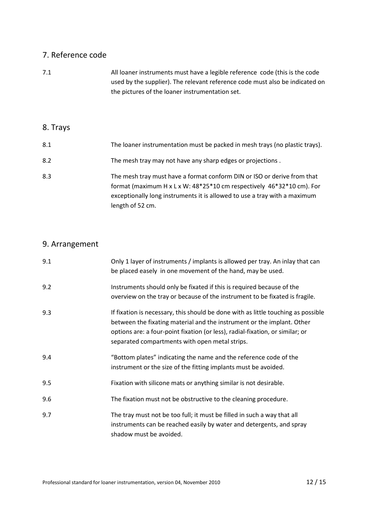## 7. Reference code

| 7.1      | All loaner instruments must have a legible reference code (this is the code<br>used by the supplier). The relevant reference code must also be indicated on<br>the pictures of the loaner instrumentation set.                                    |
|----------|---------------------------------------------------------------------------------------------------------------------------------------------------------------------------------------------------------------------------------------------------|
| 8. Trays |                                                                                                                                                                                                                                                   |
| 8.1      | The loaner instrumentation must be packed in mesh trays (no plastic trays).                                                                                                                                                                       |
| 8.2      | The mesh tray may not have any sharp edges or projections.                                                                                                                                                                                        |
| 8.3      | The mesh tray must have a format conform DIN or ISO or derive from that<br>format (maximum H x L x W: 48*25*10 cm respectively 46*32*10 cm). For<br>exceptionally long instruments it is allowed to use a tray with a maximum<br>length of 52 cm. |

# 9. Arrangement

| 9.1 | Only 1 layer of instruments / implants is allowed per tray. An inlay that can<br>be placed easely in one movement of the hand, may be used.                                                                                                                                                    |
|-----|------------------------------------------------------------------------------------------------------------------------------------------------------------------------------------------------------------------------------------------------------------------------------------------------|
| 9.2 | Instruments should only be fixated if this is required because of the<br>overview on the tray or because of the instrument to be fixated is fragile.                                                                                                                                           |
| 9.3 | If fixation is necessary, this should be done with as little touching as possible<br>between the fixating material and the instrument or the implant. Other<br>options are: a four-point fixation (or less), radial-fixation, or similar; or<br>separated compartments with open metal strips. |
| 9.4 | "Bottom plates" indicating the name and the reference code of the<br>instrument or the size of the fitting implants must be avoided.                                                                                                                                                           |
| 9.5 | Fixation with silicone mats or anything similar is not desirable.                                                                                                                                                                                                                              |
| 9.6 | The fixation must not be obstructive to the cleaning procedure.                                                                                                                                                                                                                                |
| 9.7 | The tray must not be too full; it must be filled in such a way that all<br>instruments can be reached easily by water and detergents, and spray<br>shadow must be avoided.                                                                                                                     |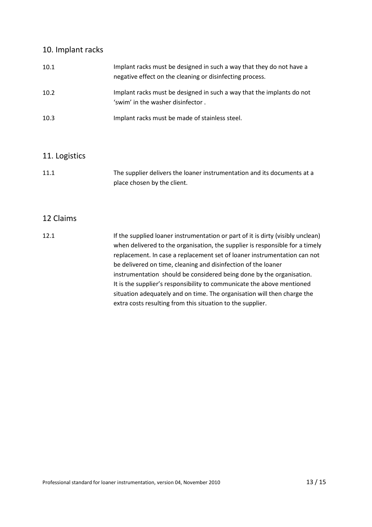#### 10. Implant racks

| 10.1 | Implant racks must be designed in such a way that they do not have a<br>negative effect on the cleaning or disinfecting process. |
|------|----------------------------------------------------------------------------------------------------------------------------------|
| 10.2 | Implant racks must be designed in such a way that the implants do not<br>'swim' in the washer disinfector.                       |
| 10.3 | Implant racks must be made of stainless steel.                                                                                   |

#### 11. Logistics

11.1 The supplier delivers the loaner instrumentation and its documents at a place chosen by the client.

#### 12 Claims

12.1 **If the supplied loaner instrumentation or part of it is dirty (visibly unclean)** when delivered to the organisation, the supplier is responsible for a timely replacement. In case a replacement set of loaner instrumentation can not be delivered on time, cleaning and disinfection of the loaner instrumentation should be considered being done by the organisation. It is the supplier's responsibility to communicate the above mentioned situation adequately and on time. The organisation will then charge the extra costs resulting from this situation to the supplier.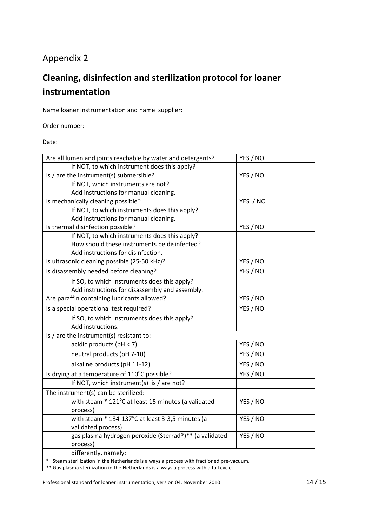# Appendix 2

# **Cleaning, disinfection and sterilization protocol for loaner instrumentation**

Name loaner instrumentation and name supplier:

Order number:

Date:

|                                                     | Are all lumen and joints reachable by water and detergents?                            | YES / NO |  |
|-----------------------------------------------------|----------------------------------------------------------------------------------------|----------|--|
|                                                     | If NOT, to which instrument does this apply?                                           |          |  |
|                                                     | Is / are the instrument(s) submersible?                                                | YES / NO |  |
|                                                     | If NOT, which instruments are not?                                                     |          |  |
|                                                     | Add instructions for manual cleaning.                                                  |          |  |
|                                                     | Is mechanically cleaning possible?                                                     | YES / NO |  |
|                                                     | If NOT, to which instruments does this apply?                                          |          |  |
|                                                     | Add instructions for manual cleaning.                                                  |          |  |
|                                                     | Is thermal disinfection possible?                                                      | YES / NO |  |
|                                                     | If NOT, to which instruments does this apply?                                          |          |  |
|                                                     | How should these instruments be disinfected?                                           |          |  |
|                                                     | Add instructions for disinfection.                                                     |          |  |
|                                                     | Is ultrasonic cleaning possible (25-50 kHz)?                                           | YES / NO |  |
|                                                     | Is disassembly needed before cleaning?                                                 | YES / NO |  |
|                                                     | If SO, to which instruments does this apply?                                           |          |  |
|                                                     | Add instructions for disassembly and assembly.                                         |          |  |
| Are paraffin containing lubricants allowed?         |                                                                                        | YES / NO |  |
| YES / NO<br>Is a special operational test required? |                                                                                        |          |  |
|                                                     | If SO, to which instruments does this apply?                                           |          |  |
|                                                     | Add instructions.                                                                      |          |  |
| Is $/$ are the instrument(s) resistant to:          |                                                                                        |          |  |
|                                                     | acidic products ( $pH < 7$ )                                                           | YES / NO |  |
|                                                     | neutral products (pH 7-10)                                                             | YES / NO |  |
|                                                     | alkaline products (pH 11-12)                                                           | YES / NO |  |
|                                                     | Is drying at a temperature of 110°C possible?                                          | YES / NO |  |
|                                                     | If NOT, which instrument(s) is $/$ are not?                                            |          |  |
|                                                     | The instrument(s) can be sterilized:                                                   |          |  |
|                                                     | with steam * 121°C at least 15 minutes (a validated                                    | YES / NO |  |
|                                                     | process)                                                                               |          |  |
|                                                     | with steam * 134-137°C at least 3-3,5 minutes (a                                       | YES / NO |  |
|                                                     | validated process)                                                                     |          |  |
|                                                     | gas plasma hydrogen peroxide (Sterrad®)** (a validated                                 | YES / NO |  |
|                                                     | process)                                                                               |          |  |
|                                                     | differently, namely:                                                                   |          |  |
|                                                     | Steam sterilization in the Netherlands is always a process with fractioned pre-vacuum. |          |  |
|                                                     | ** Gas plasma sterilization in the Netherlands is always a process with a full cycle.  |          |  |